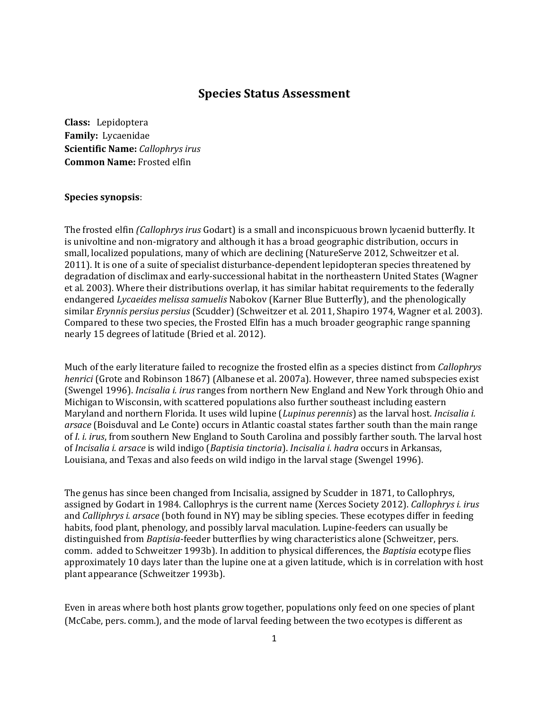## **Species Status Assessment**

**Class:** Lepidoptera **Family:** Lycaenidae **Scientific Name:** *Callophrys irus* **Common Name:** Frosted elfin

### **Species synopsis**:

The frosted elfin *(Callophrys irus* Godart) is a small and inconspicuous brown lycaenid butterfly. It is univoltine and non-migratory and although it has a broad geographic distribution, occurs in small, localized populations, many of which are declining (NatureServe 2012, Schweitzer et al. 2011). It is one of a suite of specialist disturbance-dependent lepidopteran species threatened by degradation of disclimax and early-successional habitat in the northeastern United States (Wagner et al. 2003). Where their distributions overlap, it has similar habitat requirements to the federally endangered *Lycaeides melissa samuelis* Nabokov (Karner Blue Butterfly), and the phenologically similar *Erynnis persius persius* (Scudder) (Schweitzer et al. 2011, Shapiro 1974, Wagner et al. 2003). Compared to these two species, the Frosted Elfin has a much broader geographic range spanning nearly 15 degrees of latitude (Bried et al. 2012).

Much of the early literature failed to recognize the frosted elfin as a species distinct from *Callophrys henrici* (Grote and Robinson 1867) (Albanese et al. 2007a). However, three named subspecies exist (Swengel 1996). *Incisalia i. irus* ranges from northern New England and New York through Ohio and Michigan to Wisconsin, with scattered populations also further southeast including eastern Maryland and northern Florida. It uses wild lupine (*Lupinus perennis*) as the larval host. *Incisalia i. arsace* (Boisduval and Le Conte) occurs in Atlantic coastal states farther south than the main range of *I. i. irus*, from southern New England to South Carolina and possibly farther south. The larval host of *Incisalia i. arsace* is wild indigo (*Baptisia tinctoria*). *Incisalia i. hadra* occurs in Arkansas, Louisiana, and Texas and also feeds on wild indigo in the larval stage (Swengel 1996).

The genus has since been changed from Incisalia, assigned by Scudder in 1871, to Callophrys, assigned by Godart in 1984. Callophrys is the current name (Xerces Society 2012). *Callophrys i. irus* and *Calliphrys i. arsace* (both found in NY) may be sibling species. These ecotypes differ in feeding habits, food plant, phenology, and possibly larval maculation. Lupine-feeders can usually be distinguished from *Baptisia*-feeder butterflies by wing characteristics alone (Schweitzer, pers. comm. added to Schweitzer 1993b). In addition to physical differences, the *Baptisia* ecotype flies approximately 10 days later than the lupine one at a given latitude, which is in correlation with host plant appearance (Schweitzer 1993b).

Even in areas where both host plants grow together, populations only feed on one species of plant (McCabe, pers. comm.), and the mode of larval feeding between the two ecotypes is different as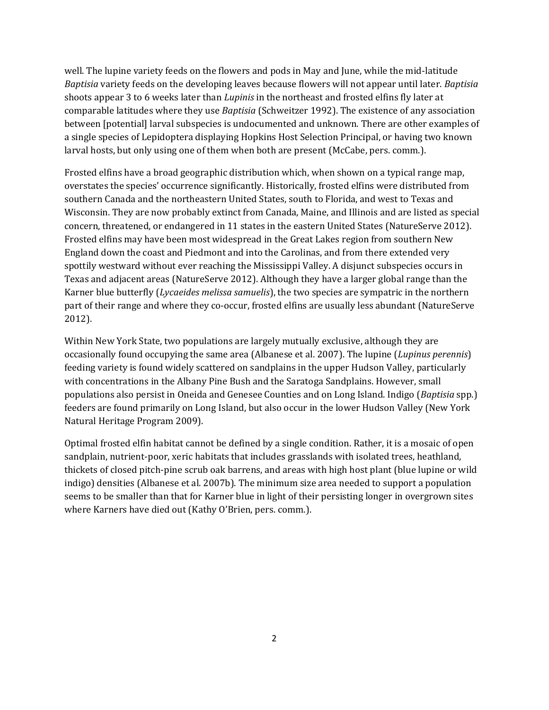well. The lupine variety feeds on the flowers and pods in May and June, while the mid-latitude *Baptisia* variety feeds on the developing leaves because flowers will not appear until later. *Baptisia* shoots appear 3 to 6 weeks later than *Lupinis* in the northeast and frosted elfins fly later at comparable latitudes where they use *Baptisia* (Schweitzer 1992). The existence of any association between [potential] larval subspecies is undocumented and unknown. There are other examples of a single species of Lepidoptera displaying Hopkins Host Selection Principal, or having two known larval hosts, but only using one of them when both are present (McCabe, pers. comm.).

Frosted elfins have a broad geographic distribution which, when shown on a typical range map, overstates the species' occurrence significantly. Historically, frosted elfins were distributed from southern Canada and the northeastern United States, south to Florida, and west to Texas and Wisconsin. They are now probably extinct from Canada, Maine, and Illinois and are listed as special concern, threatened, or endangered in 11 states in the eastern United States (NatureServe 2012). Frosted elfins may have been most widespread in the Great Lakes region from southern New England down the coast and Piedmont and into the Carolinas, and from there extended very spottily westward without ever reaching the Mississippi Valley. A disjunct subspecies occurs in Texas and adjacent areas (NatureServe 2012). Although they have a larger global range than the Karner blue butterfly (*Lycaeides melissa samuelis*), the two species are sympatric in the northern part of their range and where they co-occur, frosted elfins are usually less abundant (NatureServe 2012).

Within New York State, two populations are largely mutually exclusive, although they are occasionally found occupying the same area (Albanese et al. 2007). The lupine (*Lupinus perennis*) feeding variety is found widely scattered on sandplains in the upper Hudson Valley, particularly with concentrations in the Albany Pine Bush and the Saratoga Sandplains. However, small populations also persist in Oneida and Genesee Counties and on Long Island. Indigo (*Baptisia* spp.) feeders are found primarily on Long Island, but also occur in the lower Hudson Valley (New York Natural Heritage Program 2009).

Optimal frosted elfin habitat cannot be defined by a single condition. Rather, it is a mosaic of open sandplain, nutrient-poor, xeric habitats that includes grasslands with isolated trees, heathland, thickets of closed pitch-pine scrub oak barrens, and areas with high host plant (blue lupine or wild indigo) densities (Albanese et al. 2007b). The minimum size area needed to support a population seems to be smaller than that for Karner blue in light of their persisting longer in overgrown sites where Karners have died out (Kathy O'Brien, pers. comm.).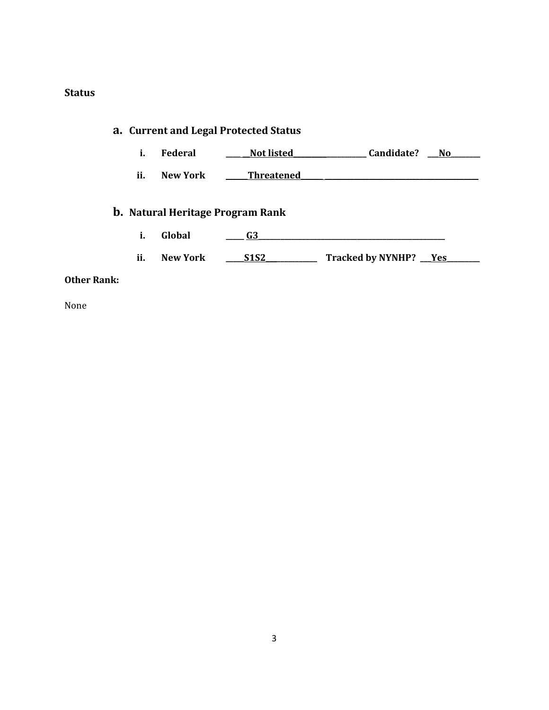# **Status**

# **a. Current and Legal Protected Status**

- **i. Federal \_\_\_\_ \_\_Not listed\_\_\_\_\_\_\_\_\_\_\_\_\_\_\_\_\_\_\_\_ Candidate? \_\_\_No\_\_\_\_\_\_\_\_**
- **ii.** New York **\_\_\_\_\_Threatened**

# **b. Natural Heritage Program Rank**

- **i. Global \_\_\_\_\_ G3\_\_\_\_\_\_\_\_\_\_\_\_\_\_\_\_\_\_\_\_\_\_\_\_\_\_\_\_\_\_\_\_\_\_\_\_\_\_\_\_\_\_\_\_\_\_\_\_\_\_\_**
- **ii. New York \_\_\_\_\_S1S2\_\_\_\_\_\_\_\_\_\_\_\_\_\_ Tracked by NYNHP? \_\_\_Yes\_\_\_\_\_\_\_\_\_**

### **Other Rank:**

None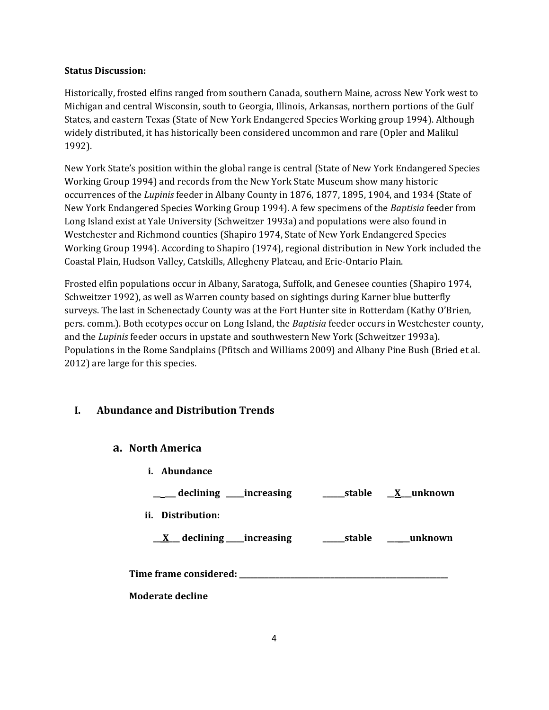### **Status Discussion:**

Historically, frosted elfins ranged from southern Canada, southern Maine, across New York west to Michigan and central Wisconsin, south to Georgia, Illinois, Arkansas, northern portions of the Gulf States, and eastern Texas (State of New York Endangered Species Working group 1994). Although widely distributed, it has historically been considered uncommon and rare (Opler and Malikul 1992).

New York State's position within the global range is central (State of New York Endangered Species Working Group 1994) and records from the New York State Museum show many historic occurrences of the *Lupinis* feeder in Albany County in 1876, 1877, 1895, 1904, and 1934 (State of New York Endangered Species Working Group 1994). A few specimens of the *Baptisia* feeder from Long Island exist at Yale University (Schweitzer 1993a) and populations were also found in Westchester and Richmond counties (Shapiro 1974, State of New York Endangered Species Working Group 1994). According to Shapiro (1974), regional distribution in New York included the Coastal Plain, Hudson Valley, Catskills, Allegheny Plateau, and Erie-Ontario Plain.

Frosted elfin populations occur in Albany, Saratoga, Suffolk, and Genesee counties (Shapiro 1974, Schweitzer 1992), as well as Warren county based on sightings during Karner blue butterfly surveys. The last in Schenectady County was at the Fort Hunter site in Rotterdam (Kathy O'Brien, pers. comm.). Both ecotypes occur on Long Island, the *Baptisia* feeder occurs in Westchester county, and the *Lupinis* feeder occurs in upstate and southwestern New York (Schweitzer 1993a). Populations in the Rome Sandplains (Pfitsch and Williams 2009) and Albany Pine Bush (Bried et al. 2012) are large for this species.

# **I. Abundance and Distribution Trends**

## **a. North America**

**i. Abundance \_\_ \_\_\_ declining \_\_\_\_\_increasing \_\_\_\_\_\_stable \_\_X\_\_\_unknown ii. Distribution: \_\_ X\_\_\_ declining \_\_\_\_\_increasing \_\_\_\_\_\_stable \_\_\_ \_\_unknown Time frame considered: \_\_\_\_\_\_\_\_\_\_\_\_\_\_\_\_\_\_\_\_\_\_\_\_\_\_\_\_\_\_\_\_\_\_\_\_\_\_\_\_\_\_\_\_\_\_\_\_\_\_\_\_\_\_\_\_\_ Moderate decline**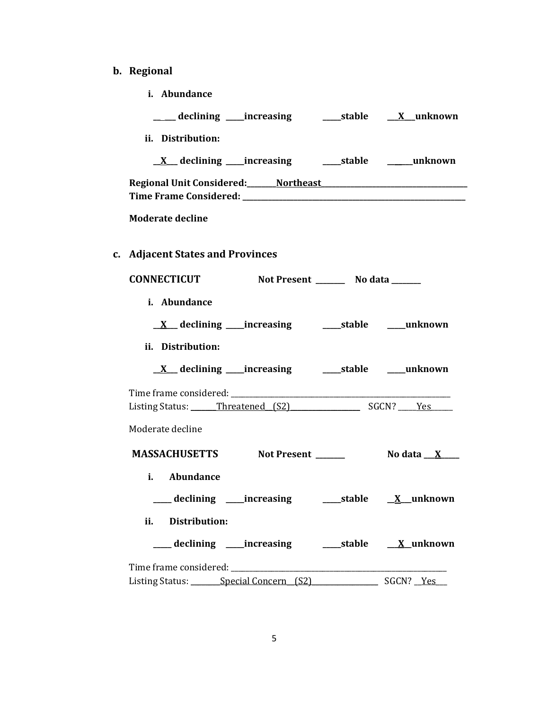- **b. Regional** 
	- **i. Abundance**

| ii. Distribution:                                                                                                                                                                                                              |
|--------------------------------------------------------------------------------------------------------------------------------------------------------------------------------------------------------------------------------|
|                                                                                                                                                                                                                                |
|                                                                                                                                                                                                                                |
| <b>Moderate decline</b>                                                                                                                                                                                                        |
| c. Adjacent States and Provinces                                                                                                                                                                                               |
| CONNECTICUT Not Present ________ No data ______                                                                                                                                                                                |
| i. Abundance                                                                                                                                                                                                                   |
|                                                                                                                                                                                                                                |
| ii. Distribution:                                                                                                                                                                                                              |
|                                                                                                                                                                                                                                |
| Listing Status: Threatened (S2) SGCN? Yes                                                                                                                                                                                      |
| Moderate decline                                                                                                                                                                                                               |
| MASSACHUSETTS Not Present ______<br>$N$ o data $\overline{X}$                                                                                                                                                                  |
| i. Abundance                                                                                                                                                                                                                   |
|                                                                                                                                                                                                                                |
| <b>Distribution:</b><br>ii.                                                                                                                                                                                                    |
|                                                                                                                                                                                                                                |
| Time frame considered: Time and the constant of the constant of the constant of the constant of the constant of the constant of the constant of the constant of the constant of the constant of the constant of the constant o |
| Listing Status: Special Concern (S2) SGCN? Yes                                                                                                                                                                                 |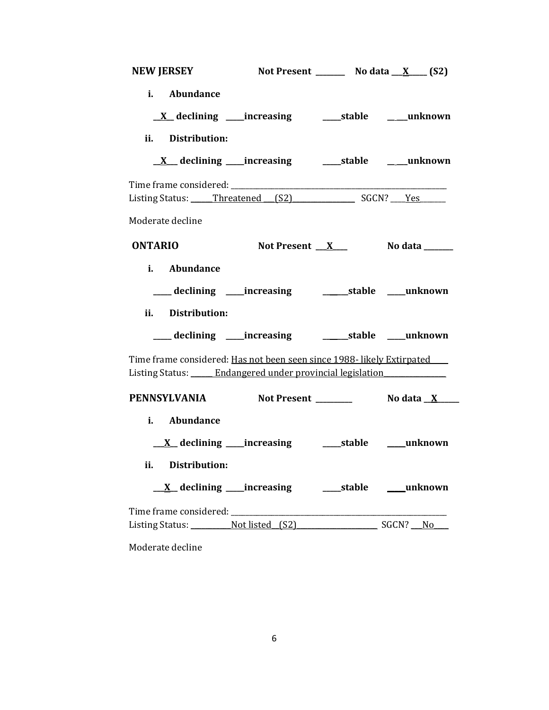| <b>NEW JERSEY</b><br>Not Present _________ No data $X$ _____ (S2)                                                                                                                                                              |  |  |  |  |
|--------------------------------------------------------------------------------------------------------------------------------------------------------------------------------------------------------------------------------|--|--|--|--|
| i. Abundance                                                                                                                                                                                                                   |  |  |  |  |
| <u>X</u> declining ____increasing _______stable _____unknown                                                                                                                                                                   |  |  |  |  |
| ii. Distribution:                                                                                                                                                                                                              |  |  |  |  |
|                                                                                                                                                                                                                                |  |  |  |  |
|                                                                                                                                                                                                                                |  |  |  |  |
| Listing Status: Threatened (S2) SGCN? Yes                                                                                                                                                                                      |  |  |  |  |
| Moderate decline                                                                                                                                                                                                               |  |  |  |  |
| <b>ONTARIO</b><br>No data ______<br>Not Present $X_{-}$                                                                                                                                                                        |  |  |  |  |
| i. Abundance                                                                                                                                                                                                                   |  |  |  |  |
|                                                                                                                                                                                                                                |  |  |  |  |
| ii. Distribution:                                                                                                                                                                                                              |  |  |  |  |
| ___ declining ___ increasing _____________stable _____unknown                                                                                                                                                                  |  |  |  |  |
| Time frame considered: Has not been seen since 1988- likely Extirpated<br>Listing Status: <i>_____</i> Endangered under provincial legislation <i>______________</i>                                                           |  |  |  |  |
| <b>PENNSYLVANIA</b><br>Not Present __________    No data _ <u>X</u> ____                                                                                                                                                       |  |  |  |  |
| i. Abundance                                                                                                                                                                                                                   |  |  |  |  |
|                                                                                                                                                                                                                                |  |  |  |  |
| ii. Distribution:                                                                                                                                                                                                              |  |  |  |  |
|                                                                                                                                                                                                                                |  |  |  |  |
| Listing Status: Not listed (S2) SGCN? No                                                                                                                                                                                       |  |  |  |  |
| Moderate decline North States and States and States and States and States and States and States and States and States and States and States and States and States and States and States and States and States and States and S |  |  |  |  |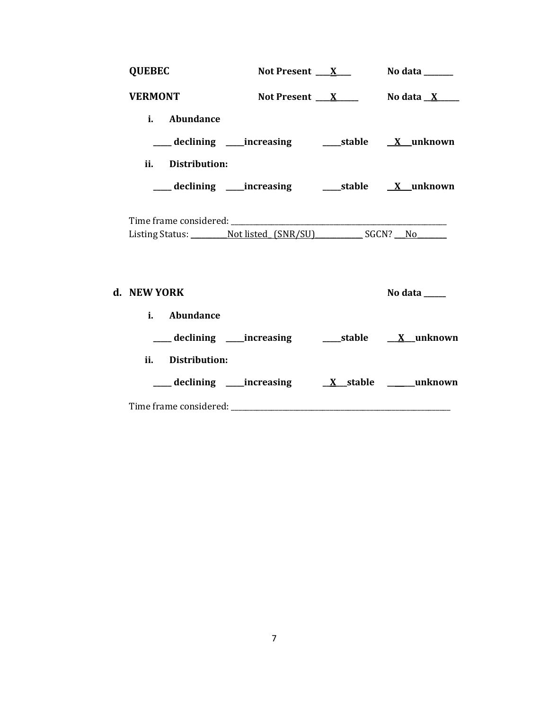| <b>QUEBEC</b>                                                                    |                                                                    | Not Present $X$ No data _______ |
|----------------------------------------------------------------------------------|--------------------------------------------------------------------|---------------------------------|
| <b>VERMONT</b>                                                                   |                                                                    | Not Present $X$ No data $X$     |
| i. Abundance                                                                     |                                                                    |                                 |
|                                                                                  | ___declining ___increasing _____stable <u>X</u> _unknown           |                                 |
| ii. Distribution:                                                                |                                                                    |                                 |
|                                                                                  | ___ declining ____increasing ______stable _____X__unknown          |                                 |
| Listing Status: ___________ Not listed_(SNR/SU)____________ SGCN? ___ No________ |                                                                    |                                 |
| d. NEW YORK                                                                      |                                                                    | No data $\_\_$                  |
| i. Abundance                                                                     |                                                                    |                                 |
|                                                                                  | ___ declining ____increasing _______stable ____ <u>X</u> __unknown |                                 |
| ii. Distribution:                                                                |                                                                    |                                 |
|                                                                                  |                                                                    |                                 |
|                                                                                  |                                                                    |                                 |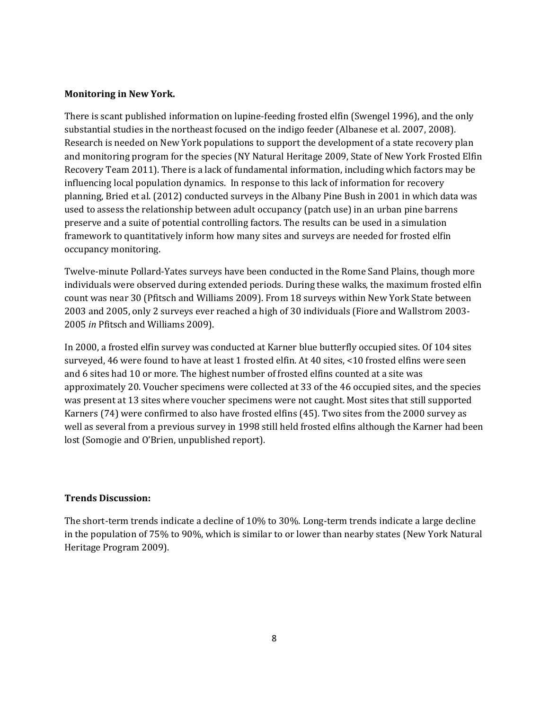#### **Monitoring in New York.**

There is scant published information on lupine-feeding frosted elfin (Swengel 1996), and the only substantial studies in the northeast focused on the indigo feeder (Albanese et al. 2007, 2008). Research is needed on New York populations to support the development of a state recovery plan and monitoring program for the species (NY Natural Heritage 2009, State of New York Frosted Elfin Recovery Team 2011). There is a lack of fundamental information, including which factors may be influencing local population dynamics. In response to this lack of information for recovery planning, Bried et al. (2012) conducted surveys in the Albany Pine Bush in 2001 in which data was used to assess the relationship between adult occupancy (patch use) in an urban pine barrens preserve and a suite of potential controlling factors. The results can be used in a simulation framework to quantitatively inform how many sites and surveys are needed for frosted elfin occupancy monitoring.

Twelve-minute Pollard-Yates surveys have been conducted in the Rome Sand Plains, though more individuals were observed during extended periods. During these walks, the maximum frosted elfin count was near 30 (Pfitsch and Williams 2009). From 18 surveys within New York State between 2003 and 2005, only 2 surveys ever reached a high of 30 individuals (Fiore and Wallstrom 2003- 2005 *in* Pfitsch and Williams 2009).

In 2000, a frosted elfin survey was conducted at Karner blue butterfly occupied sites. Of 104 sites surveyed, 46 were found to have at least 1 frosted elfin. At 40 sites, <10 frosted elfins were seen and 6 sites had 10 or more. The highest number of frosted elfins counted at a site was approximately 20. Voucher specimens were collected at 33 of the 46 occupied sites, and the species was present at 13 sites where voucher specimens were not caught. Most sites that still supported Karners (74) were confirmed to also have frosted elfins (45). Two sites from the 2000 survey as well as several from a previous survey in 1998 still held frosted elfins although the Karner had been lost (Somogie and O'Brien, unpublished report).

### **Trends Discussion:**

The short-term trends indicate a decline of 10% to 30%. Long-term trends indicate a large decline in the population of 75% to 90%, which is similar to or lower than nearby states (New York Natural Heritage Program 2009).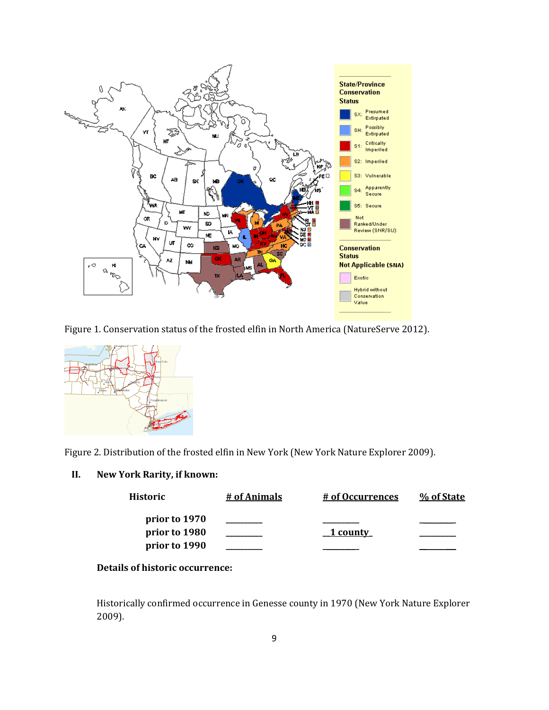





Figure 2. Distribution of the frosted elfin in New York (New York Nature Explorer 2009).

### **II. New York Rarity, if known:**

| Historic      | # of Animals | # of Occurrences | % of State |  |
|---------------|--------------|------------------|------------|--|
| prior to 1970 |              |                  |            |  |
| prior to 1980 |              | 1 county         |            |  |
| prior to 1990 |              |                  |            |  |

# **Details of historic occurrence:**

Historically confirmed occurrence in Genesse county in 1970 (New York Nature Explorer 2009).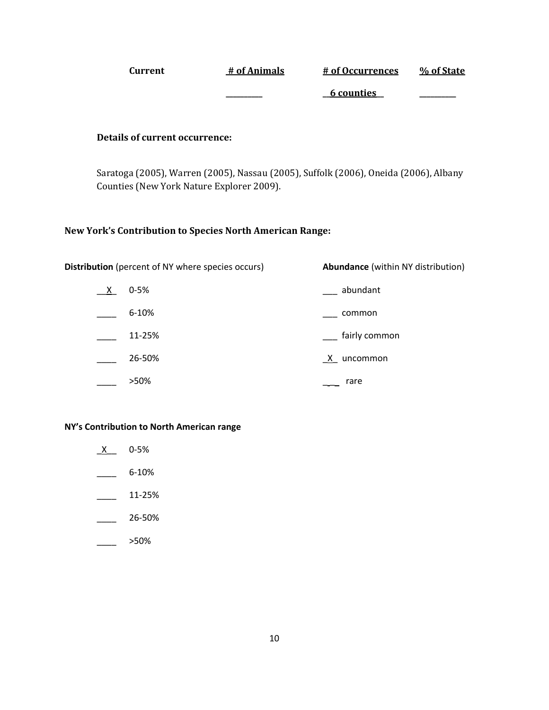| Current | # of Animals | # of Occurrences | % of State |
|---------|--------------|------------------|------------|
|         |              | 6 counties       |            |

#### **Details of current occurrence:**

Saratoga (2005), Warren (2005), Nassau (2005), Suffolk (2006), Oneida (2006), Albany Counties (New York Nature Explorer 2009).

#### **New York's Contribution to Species North American Range:**

|              | <b>Distribution</b> (percent of NY where species occurs) | <b>Abundance</b> (within NY distribution) |  |  |
|--------------|----------------------------------------------------------|-------------------------------------------|--|--|
| $\mathsf{X}$ | $0 - 5%$                                                 | abundant                                  |  |  |
|              | $6 - 10%$                                                | common                                    |  |  |
|              | 11-25%                                                   | fairly common                             |  |  |
|              | 26-50%                                                   | $X$ .<br>uncommon                         |  |  |
|              | >50%                                                     | rare                                      |  |  |

#### **NY's Contribution to North American range**

- $X$  0-5%
- $-$  6-10%
- $\frac{11-25\%}{2}$
- $\frac{26-50\%}{26}$
- \_\_\_\_ >50%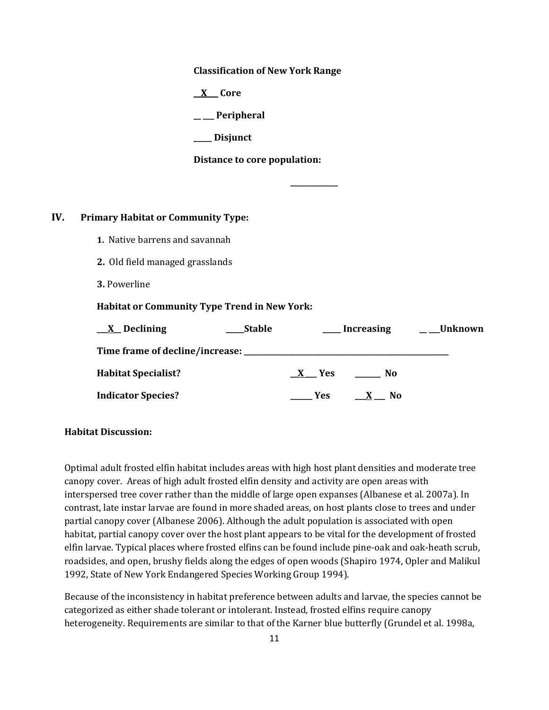**Classification of New York Range**

**\_\_X\_\_\_ Core**

**\_\_ \_\_\_ Peripheral**

**\_\_\_\_\_ Disjunct**

**Distance to core population:**

## **IV. Primary Habitat or Community Type:**

- **1.** Native barrens and savannah
- **2.** Old field managed grasslands
- **3.** Powerline

#### **Habitat or Community Type Trend in New York:**

| <u>X</u> Declining                | <b>Stable</b> |            | <b>Increasing</b> | _Unknown |
|-----------------------------------|---------------|------------|-------------------|----------|
| Time frame of decline/increase: . |               |            |                   |          |
| <b>Habitat Specialist?</b>        |               | <b>Yes</b> | No                |          |
| <b>Indicator Species?</b>         |               | <b>Yes</b> | N0                |          |

**\_\_\_\_\_\_\_\_\_\_\_\_\_**

#### **Habitat Discussion:**

Optimal adult frosted elfin habitat includes areas with high host plant densities and moderate tree canopy cover. Areas of high adult frosted elfin density and activity are open areas with interspersed tree cover rather than the middle of large open expanses (Albanese et al. 2007a). In contrast, late instar larvae are found in more shaded areas, on host plants close to trees and under partial canopy cover (Albanese 2006). Although the adult population is associated with open habitat, partial canopy cover over the host plant appears to be vital for the development of frosted elfin larvae. Typical places where frosted elfins can be found include pine-oak and oak-heath scrub, roadsides, and open, brushy fields along the edges of open woods (Shapiro 1974, Opler and Malikul 1992, State of New York Endangered Species Working Group 1994).

Because of the inconsistency in habitat preference between adults and larvae, the species cannot be categorized as either shade tolerant or intolerant. Instead, frosted elfins require canopy heterogeneity. Requirements are similar to that of the Karner blue butterfly (Grundel et al. 1998a,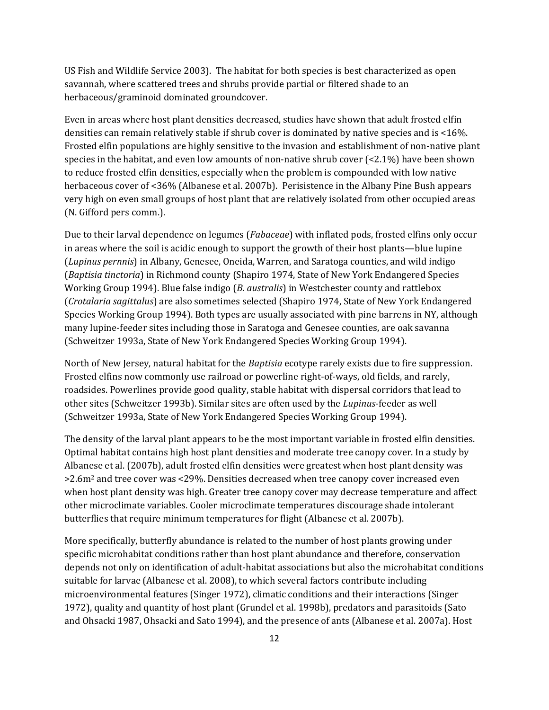US Fish and Wildlife Service 2003). The habitat for both species is best characterized as open savannah, where scattered trees and shrubs provide partial or filtered shade to an herbaceous/graminoid dominated groundcover.

Even in areas where host plant densities decreased, studies have shown that adult frosted elfin densities can remain relatively stable if shrub cover is dominated by native species and is <16%. Frosted elfin populations are highly sensitive to the invasion and establishment of non-native plant species in the habitat, and even low amounts of non-native shrub cover  $\leq 2.1\%$ ) have been shown to reduce frosted elfin densities, especially when the problem is compounded with low native herbaceous cover of <36% (Albanese et al. 2007b). Perisistence in the Albany Pine Bush appears very high on even small groups of host plant that are relatively isolated from other occupied areas (N. Gifford pers comm.).

Due to their larval dependence on legumes (*Fabaceae*) with inflated pods, frosted elfins only occur in areas where the soil is acidic enough to support the growth of their host plants—blue lupine (*Lupinus pernnis*) in Albany, Genesee, Oneida, Warren, and Saratoga counties, and wild indigo (*Baptisia tinctoria*) in Richmond county (Shapiro 1974, State of New York Endangered Species Working Group 1994). Blue false indigo (*B. australis*) in Westchester county and rattlebox (*Crotalaria sagittalus*) are also sometimes selected (Shapiro 1974, State of New York Endangered Species Working Group 1994). Both types are usually associated with pine barrens in NY, although many lupine-feeder sites including those in Saratoga and Genesee counties, are oak savanna (Schweitzer 1993a, State of New York Endangered Species Working Group 1994).

North of New Jersey, natural habitat for the *Baptisia* ecotype rarely exists due to fire suppression. Frosted elfins now commonly use railroad or powerline right-of-ways, old fields, and rarely, roadsides. Powerlines provide good quality, stable habitat with dispersal corridors that lead to other sites (Schweitzer 1993b). Similar sites are often used by the *Lupinus*-feeder as well (Schweitzer 1993a, State of New York Endangered Species Working Group 1994).

The density of the larval plant appears to be the most important variable in frosted elfin densities. Optimal habitat contains high host plant densities and moderate tree canopy cover. In a study by Albanese et al. (2007b), adult frosted elfin densities were greatest when host plant density was >2.6m<sup>2</sup> and tree cover was <29%. Densities decreased when tree canopy cover increased even when host plant density was high. Greater tree canopy cover may decrease temperature and affect other microclimate variables. Cooler microclimate temperatures discourage shade intolerant butterflies that require minimum temperatures for flight (Albanese et al. 2007b).

More specifically, butterfly abundance is related to the number of host plants growing under specific microhabitat conditions rather than host plant abundance and therefore, conservation depends not only on identification of adult-habitat associations but also the microhabitat conditions suitable for larvae (Albanese et al. 2008), to which several factors contribute including microenvironmental features (Singer 1972), climatic conditions and their interactions (Singer 1972), quality and quantity of host plant (Grundel et al. 1998b), predators and parasitoids (Sato and Ohsacki 1987, Ohsacki and Sato 1994), and the presence of ants (Albanese et al. 2007a). Host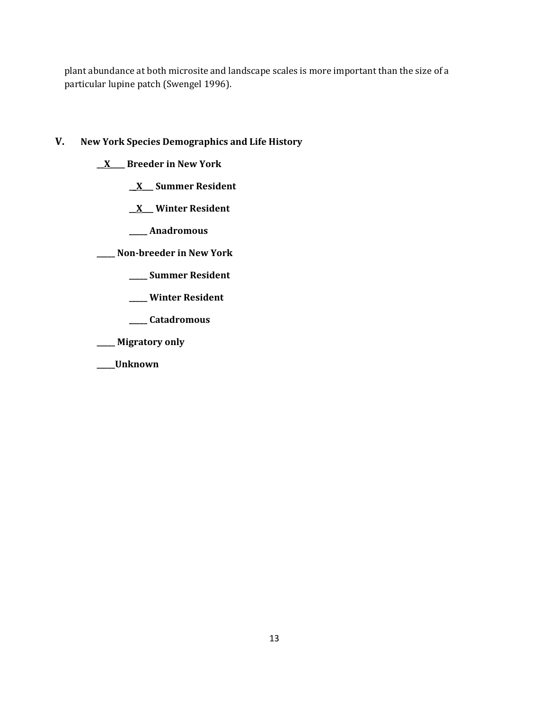plant abundance at both microsite and landscape scales is more important than the size of a particular lupine patch (Swengel 1996).

# **V. New York Species Demographics and Life History**

- **\_\_X\_\_\_\_ Breeder in New York**
	- **\_\_X\_\_\_ Summer Resident**
	- **\_\_X\_\_\_ Winter Resident**
	- **\_\_\_\_\_ Anadromous**

**\_\_\_\_\_ Non-breeder in New York**

- **\_\_\_\_\_ Summer Resident**
- **\_\_\_\_\_ Winter Resident**
- **\_\_\_\_\_ Catadromous**
- **\_\_\_\_\_ Migratory only**
- **\_\_\_\_\_Unknown**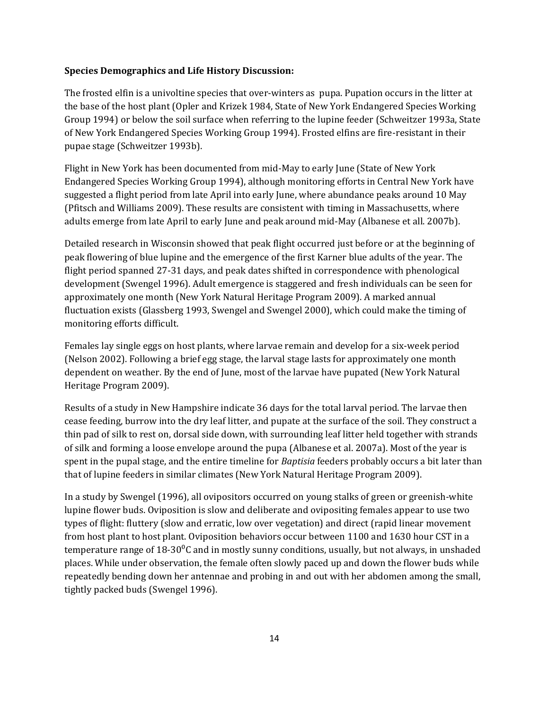#### **Species Demographics and Life History Discussion:**

The frosted elfin is a univoltine species that over-winters as pupa. Pupation occurs in the litter at the base of the host plant (Opler and Krizek 1984, State of New York Endangered Species Working Group 1994) or below the soil surface when referring to the lupine feeder (Schweitzer 1993a, State of New York Endangered Species Working Group 1994). Frosted elfins are fire-resistant in their pupae stage (Schweitzer 1993b).

Flight in New York has been documented from mid-May to early June (State of New York Endangered Species Working Group 1994), although monitoring efforts in Central New York have suggested a flight period from late April into early June, where abundance peaks around 10 May (Pfitsch and Williams 2009). These results are consistent with timing in Massachusetts, where adults emerge from late April to early June and peak around mid-May (Albanese et all. 2007b).

Detailed research in Wisconsin showed that peak flight occurred just before or at the beginning of peak flowering of blue lupine and the emergence of the first Karner blue adults of the year. The flight period spanned 27-31 days, and peak dates shifted in correspondence with phenological development (Swengel 1996). Adult emergence is staggered and fresh individuals can be seen for approximately one month (New York Natural Heritage Program 2009). A marked annual fluctuation exists (Glassberg 1993, Swengel and Swengel 2000), which could make the timing of monitoring efforts difficult.

Females lay single eggs on host plants, where larvae remain and develop for a six-week period (Nelson 2002). Following a brief egg stage, the larval stage lasts for approximately one month dependent on weather. By the end of June, most of the larvae have pupated (New York Natural Heritage Program 2009).

Results of a study in New Hampshire indicate 36 days for the total larval period. The larvae then cease feeding, burrow into the dry leaf litter, and pupate at the surface of the soil. They construct a thin pad of silk to rest on, dorsal side down, with surrounding leaf litter held together with strands of silk and forming a loose envelope around the pupa (Albanese et al. 2007a). Most of the year is spent in the pupal stage, and the entire timeline for *Baptisia* feeders probably occurs a bit later than that of lupine feeders in similar climates (New York Natural Heritage Program 2009).

In a study by Swengel (1996), all ovipositors occurred on young stalks of green or greenish-white lupine flower buds. Oviposition is slow and deliberate and ovipositing females appear to use two types of flight: fluttery (slow and erratic, low over vegetation) and direct (rapid linear movement from host plant to host plant. Oviposition behaviors occur between 1100 and 1630 hour CST in a temperature range of  $18\text{-}30\text{°C}$  and in mostly sunny conditions, usually, but not always, in unshaded places. While under observation, the female often slowly paced up and down the flower buds while repeatedly bending down her antennae and probing in and out with her abdomen among the small, tightly packed buds (Swengel 1996).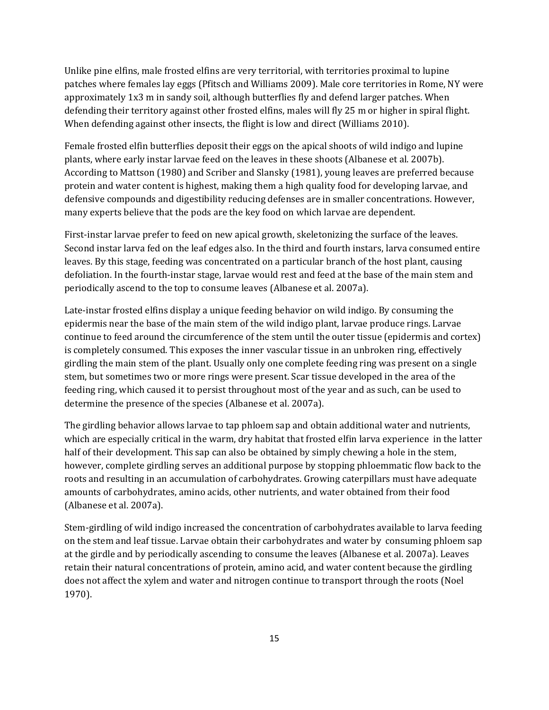Unlike pine elfins, male frosted elfins are very territorial, with territories proximal to lupine patches where females lay eggs (Pfitsch and Williams 2009). Male core territories in Rome, NY were approximately 1x3 m in sandy soil, although butterflies fly and defend larger patches. When defending their territory against other frosted elfins, males will fly 25 m or higher in spiral flight. When defending against other insects, the flight is low and direct (Williams 2010).

Female frosted elfin butterflies deposit their eggs on the apical shoots of wild indigo and lupine plants, where early instar larvae feed on the leaves in these shoots (Albanese et al. 2007b). According to Mattson (1980) and Scriber and Slansky (1981), young leaves are preferred because protein and water content is highest, making them a high quality food for developing larvae, and defensive compounds and digestibility reducing defenses are in smaller concentrations. However, many experts believe that the pods are the key food on which larvae are dependent.

First-instar larvae prefer to feed on new apical growth, skeletonizing the surface of the leaves. Second instar larva fed on the leaf edges also. In the third and fourth instars, larva consumed entire leaves. By this stage, feeding was concentrated on a particular branch of the host plant, causing defoliation. In the fourth-instar stage, larvae would rest and feed at the base of the main stem and periodically ascend to the top to consume leaves (Albanese et al. 2007a).

Late-instar frosted elfins display a unique feeding behavior on wild indigo. By consuming the epidermis near the base of the main stem of the wild indigo plant, larvae produce rings. Larvae continue to feed around the circumference of the stem until the outer tissue (epidermis and cortex) is completely consumed. This exposes the inner vascular tissue in an unbroken ring, effectively girdling the main stem of the plant. Usually only one complete feeding ring was present on a single stem, but sometimes two or more rings were present. Scar tissue developed in the area of the feeding ring, which caused it to persist throughout most of the year and as such, can be used to determine the presence of the species (Albanese et al. 2007a).

The girdling behavior allows larvae to tap phloem sap and obtain additional water and nutrients, which are especially critical in the warm, dry habitat that frosted elfin larva experience in the latter half of their development. This sap can also be obtained by simply chewing a hole in the stem, however, complete girdling serves an additional purpose by stopping phloemmatic flow back to the roots and resulting in an accumulation of carbohydrates. Growing caterpillars must have adequate amounts of carbohydrates, amino acids, other nutrients, and water obtained from their food (Albanese et al. 2007a).

Stem-girdling of wild indigo increased the concentration of carbohydrates available to larva feeding on the stem and leaf tissue. Larvae obtain their carbohydrates and water by consuming phloem sap at the girdle and by periodically ascending to consume the leaves (Albanese et al. 2007a). Leaves retain their natural concentrations of protein, amino acid, and water content because the girdling does not affect the xylem and water and nitrogen continue to transport through the roots (Noel 1970).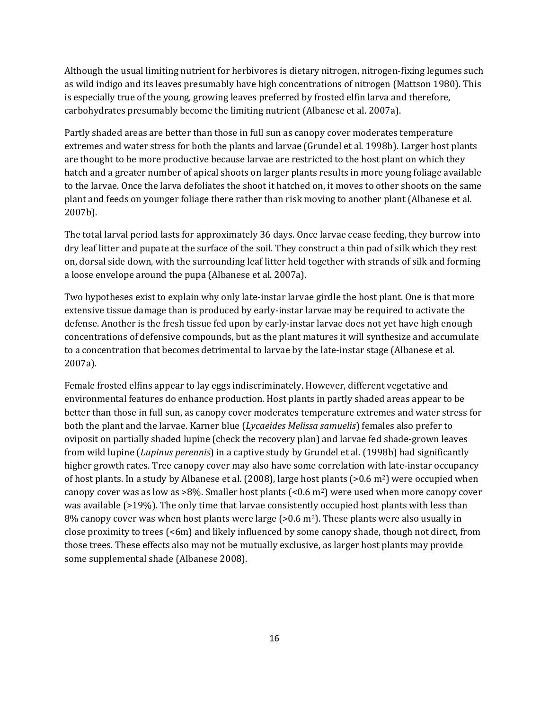Although the usual limiting nutrient for herbivores is dietary nitrogen, nitrogen-fixing legumes such as wild indigo and its leaves presumably have high concentrations of nitrogen (Mattson 1980). This is especially true of the young, growing leaves preferred by frosted elfin larva and therefore, carbohydrates presumably become the limiting nutrient (Albanese et al. 2007a).

Partly shaded areas are better than those in full sun as canopy cover moderates temperature extremes and water stress for both the plants and larvae (Grundel et al. 1998b). Larger host plants are thought to be more productive because larvae are restricted to the host plant on which they hatch and a greater number of apical shoots on larger plants results in more young foliage available to the larvae. Once the larva defoliates the shoot it hatched on, it moves to other shoots on the same plant and feeds on younger foliage there rather than risk moving to another plant (Albanese et al. 2007b).

The total larval period lasts for approximately 36 days. Once larvae cease feeding, they burrow into dry leaf litter and pupate at the surface of the soil. They construct a thin pad of silk which they rest on, dorsal side down, with the surrounding leaf litter held together with strands of silk and forming a loose envelope around the pupa (Albanese et al. 2007a).

Two hypotheses exist to explain why only late-instar larvae girdle the host plant. One is that more extensive tissue damage than is produced by early-instar larvae may be required to activate the defense. Another is the fresh tissue fed upon by early-instar larvae does not yet have high enough concentrations of defensive compounds, but as the plant matures it will synthesize and accumulate to a concentration that becomes detrimental to larvae by the late-instar stage (Albanese et al. 2007a).

Female frosted elfins appear to lay eggs indiscriminately. However, different vegetative and environmental features do enhance production. Host plants in partly shaded areas appear to be better than those in full sun, as canopy cover moderates temperature extremes and water stress for both the plant and the larvae. Karner blue (*Lycaeides Melissa samuelis*) females also prefer to oviposit on partially shaded lupine (check the recovery plan) and larvae fed shade-grown leaves from wild lupine (*Lupinus perennis*) in a captive study by Grundel et al. (1998b) had significantly higher growth rates. Tree canopy cover may also have some correlation with late-instar occupancy of host plants. In a study by Albanese et al. (2008), large host plants (>0.6 m2) were occupied when canopy cover was as low as  $>8\%$ . Smaller host plants (<0.6 m<sup>2</sup>) were used when more canopy cover was available (>19%). The only time that larvae consistently occupied host plants with less than 8% canopy cover was when host plants were large ( $> 0.6$  m<sup>2</sup>). These plants were also usually in close proximity to trees  $(\leq 6m)$  and likely influenced by some canopy shade, though not direct, from those trees. These effects also may not be mutually exclusive, as larger host plants may provide some supplemental shade (Albanese 2008).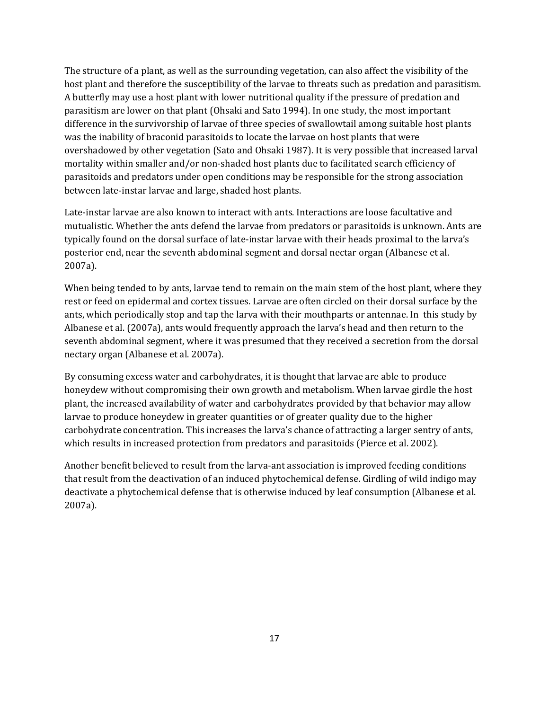The structure of a plant, as well as the surrounding vegetation, can also affect the visibility of the host plant and therefore the susceptibility of the larvae to threats such as predation and parasitism. A butterfly may use a host plant with lower nutritional quality if the pressure of predation and parasitism are lower on that plant (Ohsaki and Sato 1994). In one study, the most important difference in the survivorship of larvae of three species of swallowtail among suitable host plants was the inability of braconid parasitoids to locate the larvae on host plants that were overshadowed by other vegetation (Sato and Ohsaki 1987). It is very possible that increased larval mortality within smaller and/or non-shaded host plants due to facilitated search efficiency of parasitoids and predators under open conditions may be responsible for the strong association between late-instar larvae and large, shaded host plants.

Late-instar larvae are also known to interact with ants. Interactions are loose facultative and mutualistic. Whether the ants defend the larvae from predators or parasitoids is unknown. Ants are typically found on the dorsal surface of late-instar larvae with their heads proximal to the larva's posterior end, near the seventh abdominal segment and dorsal nectar organ (Albanese et al. 2007a).

When being tended to by ants, larvae tend to remain on the main stem of the host plant, where they rest or feed on epidermal and cortex tissues. Larvae are often circled on their dorsal surface by the ants, which periodically stop and tap the larva with their mouthparts or antennae. In this study by Albanese et al. (2007a), ants would frequently approach the larva's head and then return to the seventh abdominal segment, where it was presumed that they received a secretion from the dorsal nectary organ (Albanese et al. 2007a).

By consuming excess water and carbohydrates, it is thought that larvae are able to produce honeydew without compromising their own growth and metabolism. When larvae girdle the host plant, the increased availability of water and carbohydrates provided by that behavior may allow larvae to produce honeydew in greater quantities or of greater quality due to the higher carbohydrate concentration. This increases the larva's chance of attracting a larger sentry of ants, which results in increased protection from predators and parasitoids (Pierce et al. 2002).

Another benefit believed to result from the larva-ant association is improved feeding conditions that result from the deactivation of an induced phytochemical defense. Girdling of wild indigo may deactivate a phytochemical defense that is otherwise induced by leaf consumption (Albanese et al. 2007a).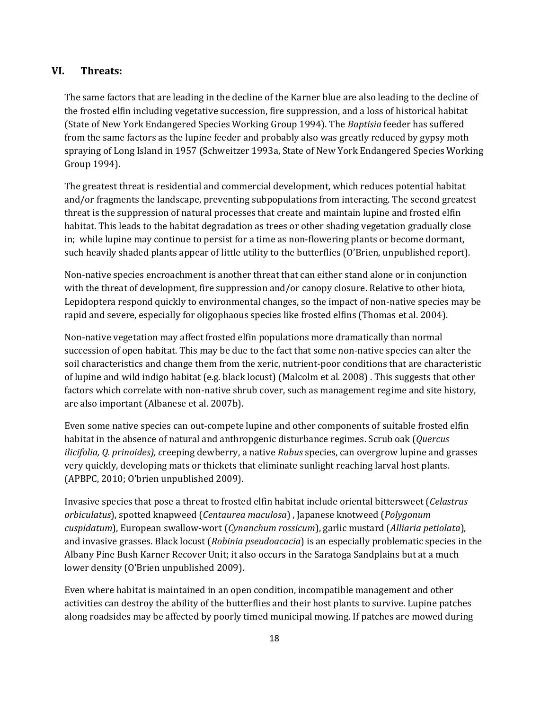### **VI. Threats:**

The same factors that are leading in the decline of the Karner blue are also leading to the decline of the frosted elfin including vegetative succession, fire suppression, and a loss of historical habitat (State of New York Endangered Species Working Group 1994). The *Baptisia* feeder has suffered from the same factors as the lupine feeder and probably also was greatly reduced by gypsy moth spraying of Long Island in 1957 (Schweitzer 1993a, State of New York Endangered Species Working Group 1994).

The greatest threat is residential and commercial development, which reduces potential habitat and/or fragments the landscape, preventing subpopulations from interacting. The second greatest threat is the suppression of natural processes that create and maintain lupine and frosted elfin habitat. This leads to the habitat degradation as trees or other shading vegetation gradually close in; while lupine may continue to persist for a time as non-flowering plants or become dormant, such heavily shaded plants appear of little utility to the butterflies (O'Brien, unpublished report).

Non-native species encroachment is another threat that can either stand alone or in conjunction with the threat of development, fire suppression and/or canopy closure. Relative to other biota, Lepidoptera respond quickly to environmental changes, so the impact of non-native species may be rapid and severe, especially for oligophaous species like frosted elfins (Thomas et al. 2004).

Non-native vegetation may affect frosted elfin populations more dramatically than normal succession of open habitat. This may be due to the fact that some non-native species can alter the soil characteristics and change them from the xeric, nutrient-poor conditions that are characteristic of lupine and wild indigo habitat (e.g. black locust) (Malcolm et al. 2008) . This suggests that other factors which correlate with non-native shrub cover, such as management regime and site history, are also important (Albanese et al. 2007b).

Even some native species can out-compete lupine and other components of suitable frosted elfin habitat in the absence of natural and anthropgenic disturbance regimes. Scrub oak (*Quercus ilicifolia, Q. prinoides), c*reeping dewberry, a native *Rubus* species, can overgrow lupine and grasses very quickly, developing mats or thickets that eliminate sunlight reaching larval host plants. (APBPC, 2010; O'brien unpublished 2009).

Invasive species that pose a threat to frosted elfin habitat include oriental bittersweet (*Celastrus orbiculatus*), spotted knapweed (*Centaurea maculosa*) , Japanese knotweed (*Polygonum cuspidatum*), European swallow-wort (*Cynanchum rossicum*), garlic mustard (*Alliaria petiolata*), and invasive grasses. Black locust (*Robinia pseudoacacia*) is an especially problematic species in the Albany Pine Bush Karner Recover Unit; it also occurs in the Saratoga Sandplains but at a much lower density (O'Brien unpublished 2009).

Even where habitat is maintained in an open condition, incompatible management and other activities can destroy the ability of the butterflies and their host plants to survive. Lupine patches along roadsides may be affected by poorly timed municipal mowing. If patches are mowed during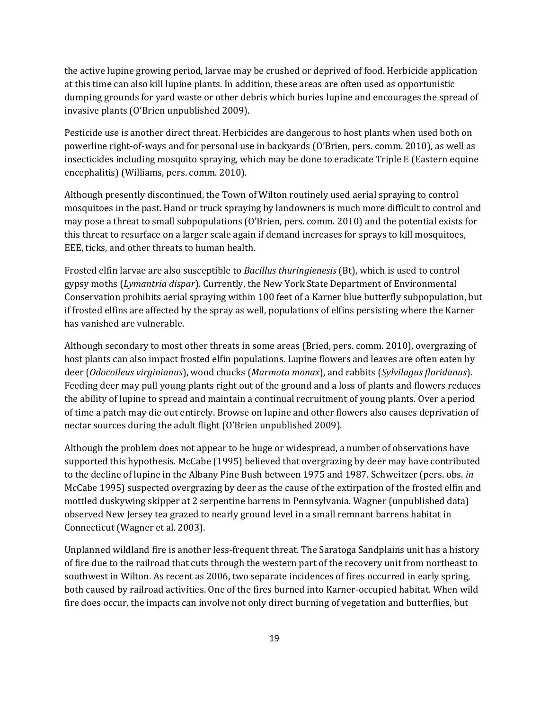the active lupine growing period, larvae may be crushed or deprived of food. Herbicide application at this time can also kill lupine plants. In addition, these areas are often used as opportunistic dumping grounds for yard waste or other debris which buries lupine and encourages the spread of invasive plants (O'Brien unpublished 2009).

Pesticide use is another direct threat. Herbicides are dangerous to host plants when used both on powerline right-of-ways and for personal use in backyards (O'Brien, pers. comm. 2010), as well as insecticides including mosquito spraying, which may be done to eradicate Triple E (Eastern equine encephalitis) (Williams, pers. comm. 2010).

Although presently discontinued, the Town of Wilton routinely used aerial spraying to control mosquitoes in the past. Hand or truck spraying by landowners is much more difficult to control and may pose a threat to small subpopulations (O'Brien, pers. comm. 2010) and the potential exists for this threat to resurface on a larger scale again if demand increases for sprays to kill mosquitoes, EEE, ticks, and other threats to human health.

Frosted elfin larvae are also susceptible to *Bacillus thuringienesis* (Bt), which is used to control gypsy moths (*Lymantria dispar*). Currently, the New York State Department of Environmental Conservation prohibits aerial spraying within 100 feet of a Karner blue butterfly subpopulation, but if frosted elfins are affected by the spray as well, populations of elfins persisting where the Karner has vanished are vulnerable.

Although secondary to most other threats in some areas (Bried, pers. comm. 2010), overgrazing of host plants can also impact frosted elfin populations. Lupine flowers and leaves are often eaten by deer (*Odocoileus virginianus*), wood chucks (*Marmota monax*), and rabbits (*Sylvilagus floridanus*). Feeding deer may pull young plants right out of the ground and a loss of plants and flowers reduces the ability of lupine to spread and maintain a continual recruitment of young plants. Over a period of time a patch may die out entirely. Browse on lupine and other flowers also causes deprivation of nectar sources during the adult flight (O'Brien unpublished 2009).

Although the problem does not appear to be huge or widespread, a number of observations have supported this hypothesis. McCabe (1995) believed that overgrazing by deer may have contributed to the decline of lupine in the Albany Pine Bush between 1975 and 1987. Schweitzer (pers. obs. *in* McCabe 1995) suspected overgrazing by deer as the cause of the extirpation of the frosted elfin and mottled duskywing skipper at 2 serpentine barrens in Pennsylvania. Wagner (unpublished data) observed New Jersey tea grazed to nearly ground level in a small remnant barrens habitat in Connecticut (Wagner et al. 2003).

Unplanned wildland fire is another less-frequent threat. The Saratoga Sandplains unit has a history of fire due to the railroad that cuts through the western part of the recovery unit from northeast to southwest in Wilton. As recent as 2006, two separate incidences of fires occurred in early spring, both caused by railroad activities. One of the fires burned into Karner-occupied habitat. When wild fire does occur, the impacts can involve not only direct burning of vegetation and butterflies, but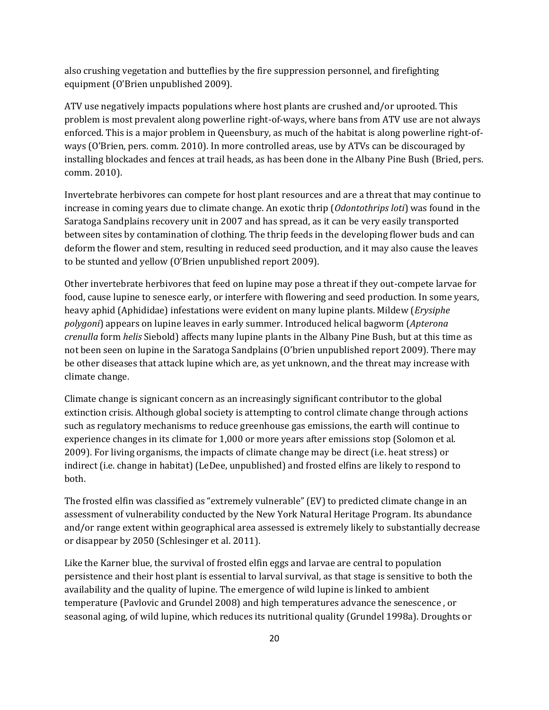also crushing vegetation and butteflies by the fire suppression personnel, and firefighting equipment (O'Brien unpublished 2009).

ATV use negatively impacts populations where host plants are crushed and/or uprooted. This problem is most prevalent along powerline right-of-ways, where bans from ATV use are not always enforced. This is a major problem in Queensbury, as much of the habitat is along powerline right-ofways (O'Brien, pers. comm. 2010). In more controlled areas, use by ATVs can be discouraged by installing blockades and fences at trail heads, as has been done in the Albany Pine Bush (Bried, pers. comm. 2010).

Invertebrate herbivores can compete for host plant resources and are a threat that may continue to increase in coming years due to climate change. An exotic thrip (*Odontothrips loti*) was found in the Saratoga Sandplains recovery unit in 2007 and has spread, as it can be very easily transported between sites by contamination of clothing. The thrip feeds in the developing flower buds and can deform the flower and stem, resulting in reduced seed production, and it may also cause the leaves to be stunted and yellow (O'Brien unpublished report 2009).

Other invertebrate herbivores that feed on lupine may pose a threat if they out-compete larvae for food, cause lupine to senesce early, or interfere with flowering and seed production. In some years, heavy aphid (Aphididae) infestations were evident on many lupine plants. Mildew (*Erysiphe polygoni*) appears on lupine leaves in early summer. Introduced helical bagworm (*Apterona crenulla* form *helis* Siebold) affects many lupine plants in the Albany Pine Bush, but at this time as not been seen on lupine in the Saratoga Sandplains (O'brien unpublished report 2009). There may be other diseases that attack lupine which are, as yet unknown, and the threat may increase with climate change.

Climate change is signicant concern as an increasingly significant contributor to the global extinction crisis. Although global society is attempting to control climate change through actions such as regulatory mechanisms to reduce greenhouse gas emissions, the earth will continue to experience changes in its climate for 1,000 or more years after emissions stop (Solomon et al. 2009). For living organisms, the impacts of climate change may be direct (i.e. heat stress) or indirect (i.e. change in habitat) (LeDee, unpublished) and frosted elfins are likely to respond to both.

The frosted elfin was classified as "extremely vulnerable" (EV) to predicted climate change in an assessment of vulnerability conducted by the New York Natural Heritage Program. Its abundance and/or range extent within geographical area assessed is extremely likely to substantially decrease or disappear by 2050 (Schlesinger et al. 2011).

Like the Karner blue, the survival of frosted elfin eggs and larvae are central to population persistence and their host plant is essential to larval survival, as that stage is sensitive to both the availability and the quality of lupine. The emergence of wild lupine is linked to ambient temperature (Pavlovic and Grundel 2008) and high temperatures advance the senescence , or seasonal aging, of wild lupine, which reduces its nutritional quality (Grundel 1998a). Droughts or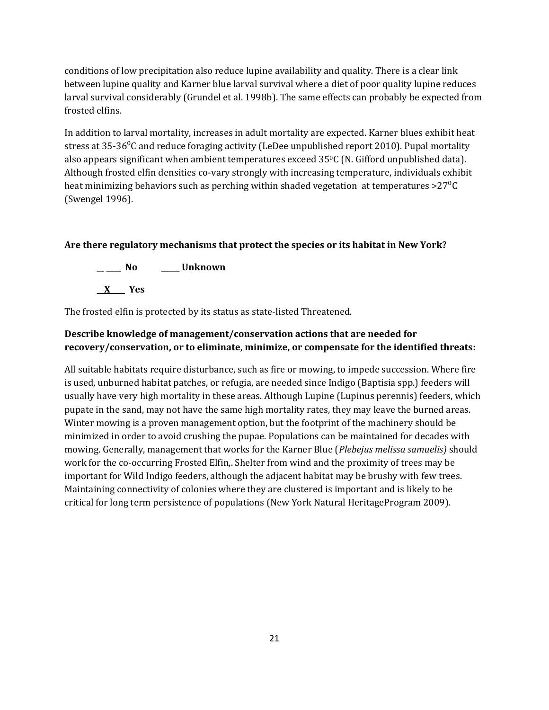conditions of low precipitation also reduce lupine availability and quality. There is a clear link between lupine quality and Karner blue larval survival where a diet of poor quality lupine reduces larval survival considerably (Grundel et al. 1998b). The same effects can probably be expected from frosted elfins.

In addition to larval mortality, increases in adult mortality are expected. Karner blues exhibit heat stress at 35-36<sup>o</sup>C and reduce foraging activity (LeDee unpublished report 2010). Pupal mortality also appears significant when ambient temperatures exceed 350C (N. Gifford unpublished data). Although frosted elfin densities co-vary strongly with increasing temperature, individuals exhibit heat minimizing behaviors such as perching within shaded vegetation at temperatures  $>27\degree C$ (Swengel 1996).

### **Are there regulatory mechanisms that protect the species or its habitat in New York?**



The frosted elfin is protected by its status as state-listed Threatened.

# **Describe knowledge of management/conservation actions that are needed for recovery/conservation, or to eliminate, minimize, or compensate for the identified threats:**

All suitable habitats require disturbance, such as fire or mowing, to impede succession. Where fire is used, unburned habitat patches, or refugia, are needed since Indigo (Baptisia spp.) feeders will usually have very high mortality in these areas. Although Lupine (Lupinus perennis) feeders, which pupate in the sand, may not have the same high mortality rates, they may leave the burned areas. Winter mowing is a proven management option, but the footprint of the machinery should be minimized in order to avoid crushing the pupae. Populations can be maintained for decades with mowing. Generally, management that works for the Karner Blue (*Plebejus melissa samuelis)* should work for the co-occurring Frosted Elfin,. Shelter from wind and the proximity of trees may be important for Wild Indigo feeders, although the adjacent habitat may be brushy with few trees. Maintaining connectivity of colonies where they are clustered is important and is likely to be critical for long term persistence of populations (New York Natural HeritageProgram 2009).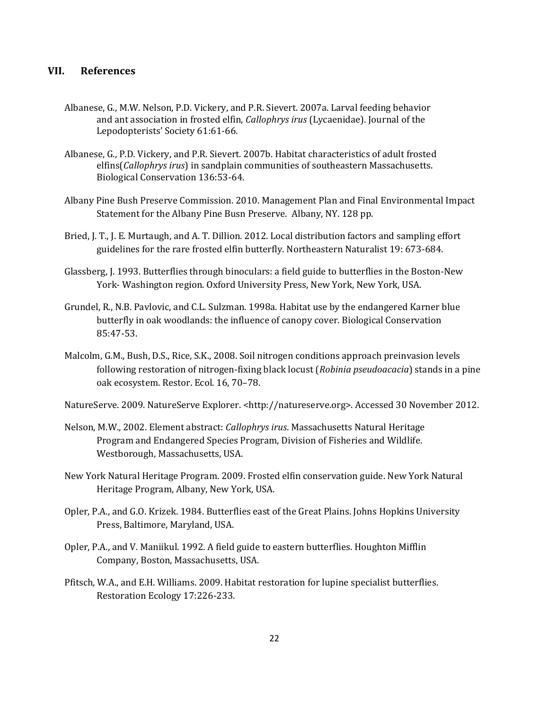## **VII. References**

- Albanese, G., M.W. Nelson, P.D. Vickery, and P.R. Sievert. 2007a. Larval feeding behavior and ant association in frosted elfin, *Callophrys irus* (Lycaenidae). Journal of the Lepodopterists' Society 61:61-66.
- Albanese, G., P.D. Vickery, and P.R. Sievert. 2007b. Habitat characteristics of adult frosted elfins(*Callophrys irus*) in sandplain communities of southeastern Massachusetts. Biological Conservation 136:53-64.
- Albany Pine Bush Preserve Commission. 2010. Management Plan and Final Environmental Impact Statement for the Albany Pine Busn Preserve. Albany, NY. 128 pp.
- Bried, J. T., J. E. Murtaugh, and A. T. Dillion. 2012. Local distribution factors and sampling effort guidelines for the rare frosted elfin butterfly. Northeastern Naturalist 19: 673-684.
- Glassberg, J. 1993. Butterflies through binoculars: a field guide to butterflies in the Boston-New York- Washington region. Oxford University Press, New York, New York, USA.
- Grundel, R., N.B. Pavlovic, and C.L. Sulzman. 1998a. Habitat use by the endangered Karner blue butterfly in oak woodlands: the influence of canopy cover. Biological Conservation 85:47-53.
- Malcolm, G.M., Bush, D.S., Rice, S.K., 2008. Soil nitrogen conditions approach preinvasion levels following restoration of nitrogen-fixing black locust (*Robinia pseudoacacia*) stands in a pine oak ecosystem. Restor. Ecol. 16, 70–78.
- NatureServe. 2009. NatureServe Explorer. <http://natureserve.org>. Accessed 30 November 2012.
- Nelson, M.W., 2002. Element abstract: *Callophrys irus*. Massachusetts Natural Heritage Program and Endangered Species Program, Division of Fisheries and Wildlife. Westborough, Massachusetts, USA.
- New York Natural Heritage Program. 2009. Frosted elfin conservation guide. New York Natural Heritage Program, Albany, New York, USA.
- Opler, P.A., and G.O. Krizek. 1984. Butterflies east of the Great Plains. Johns Hopkins University Press, Baltimore, Maryland, USA.
- Opler, P.A., and V. Maniikul. 1992. A field guide to eastern butterflies. Houghton Mifflin Company, Boston, Massachusetts, USA.
- Pfitsch, W.A., and E.H. Williams. 2009. Habitat restoration for lupine specialist butterflies. Restoration Ecology 17:226-233.